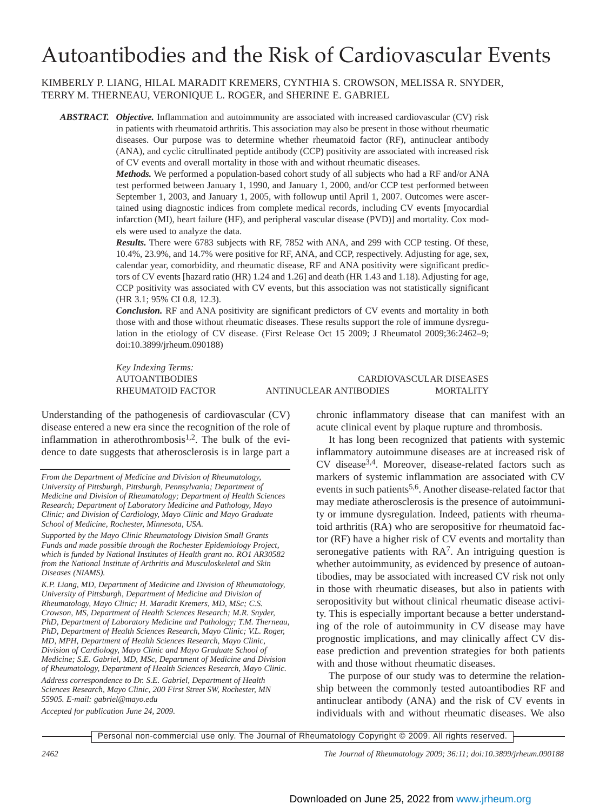# Autoantibodies and the Risk of Cardiovascular Events

KIMBERLY P. LIANG, HILAL MARADIT KREMERS, CYNTHIA S. CROWSON, MELISSA R. SNYDER, TERRY M. THERNEAU, VERONIQUE L. ROGER, and SHERINE E. GABRIEL

*ABSTRACT. Objective.* Inflammation and autoimmunity are associated with increased cardiovascular (CV) risk in patients with rheumatoid arthritis. This association may also be present in those without rheumatic diseases. Our purpose was to determine whether rheumatoid factor (RF), antinuclear antibody (ANA), and cyclic citrullinated peptide antibody (CCP) positivity are associated with increased risk of CV events and overall mortality in those with and without rheumatic diseases.

> *Methods.* We performed a population-based cohort study of all subjects who had a RF and/or ANA test performed between January 1, 1990, and January 1, 2000, and/or CCP test performed between September 1, 2003, and January 1, 2005, with followup until April 1, 2007. Outcomes were ascertained using diagnostic indices from complete medical records, including CV events [myocardial infarction (MI), heart failure (HF), and peripheral vascular disease (PVD)] and mortality. Cox models were used to analyze the data.

> *Results.* There were 6783 subjects with RF, 7852 with ANA, and 299 with CCP testing. Of these, 10.4%, 23.9%, and 14.7% were positive for RF, ANA, and CCP, respectively. Adjusting for age, sex, calendar year, comorbidity, and rheumatic disease, RF and ANA positivity were significant predictors of CV events [hazard ratio (HR) 1.24 and 1.26] and death (HR 1.43 and 1.18). Adjusting for age, CCP positivity was associated with CV events, but this association was not statistically significant (HR 3.1; 95% CI 0.8, 12.3).

> *Conclusion.* RF and ANA positivity are significant predictors of CV events and mortality in both those with and those without rheumatic diseases. These results support the role of immune dysregulation in the etiology of CV disease. (First Release Oct 15 2009; J Rheumatol 2009;36:2462–9; doi:10.3899/jrheum.090188)

*Key Indexing Terms:*

# AUTOANTIBODIES CARDIOVASCULAR DISEASES RHEUMATOID FACTOR ANTINUCLEAR ANTIBODIES MORTALITY

Understanding of the pathogenesis of cardiovascular (CV) disease entered a new era since the recognition of the role of inflammation in atherothrombosis<sup>1,2</sup>. The bulk of the evidence to date suggests that atherosclerosis is in large part a

*Supported by the Mayo Clinic Rheumatology Division Small Grants Funds and made possible through the Rochester Epidemiology Project, which is funded by National Institutes of Health grant no. RO1 AR30582 from the National Institute of Arthritis and Musculoskeletal and Skin Diseases (NIAMS).*

*K.P. Liang, MD, Department of Medicine and Division of Rheumatology, University of Pittsburgh, Department of Medicine and Division of Rheumatology, Mayo Clinic; H. Maradit Kremers, MD, MSc; C.S. Crowson, MS, Department of Health Sciences Research; M.R. Snyder, PhD, Department of Laboratory Medicine and Pathology; T.M. Therneau, PhD, Department of Health Sciences Research, Mayo Clinic; V.L. Roger, MD, MPH, Department of Health Sciences Research, Mayo Clinic, Division of Cardiology, Mayo Clinic and Mayo Graduate School of Medicine; S.E. Gabriel, MD, MSc, Department of Medicine and Division of Rheumatology, Department of Health Sciences Research, Mayo Clinic.*

*Address correspondence to Dr. S.E. Gabriel, Department of Health Sciences Research, Mayo Clinic, 200 First Street SW, Rochester, MN 55905. E-mail: gabriel@mayo.edu*

*Accepted for publication June 24, 2009.*

chronic inflammatory disease that can manifest with an acute clinical event by plaque rupture and thrombosis.

It has long been recognized that patients with systemic inflammatory autoimmune diseases are at increased risk of  $CV$  disease<sup>3,4</sup>. Moreover, disease-related factors such as markers of systemic inflammation are associated with CV events in such patients<sup>5,6</sup>. Another disease-related factor that may mediate atherosclerosis is the presence of autoimmunity or immune dysregulation. Indeed, patients with rheumatoid arthritis (RA) who are seropositive for rheumatoid factor (RF) have a higher risk of CV events and mortality than seronegative patients with  $RA<sup>7</sup>$ . An intriguing question is whether autoimmunity, as evidenced by presence of autoantibodies, may be associated with increased CV risk not only in those with rheumatic diseases, but also in patients with seropositivity but without clinical rheumatic disease activity. This is especially important because a better understanding of the role of autoimmunity in CV disease may have prognostic implications, and may clinically affect CV disease prediction and prevention strategies for both patients with and those without rheumatic diseases.

The purpose of our study was to determine the relationship between the commonly tested autoantibodies RF and antinuclear antibody (ANA) and the risk of CV events in individuals with and without rheumatic diseases. We also

Personal non-commercial use only. The Journal of Rheumatology Copyright © 2009. All rights reserved.

*From the Department of Medicine and Division of Rheumatology, University of Pittsburgh, Pittsburgh, Pennsylvania; Department of Medicine and Division of Rheumatology; Department of Health Sciences Research; Department of Laboratory Medicine and Pathology, Mayo Clinic; and Division of Cardiology, Mayo Clinic and Mayo Graduate School of Medicine, Rochester, Minnesota, USA.*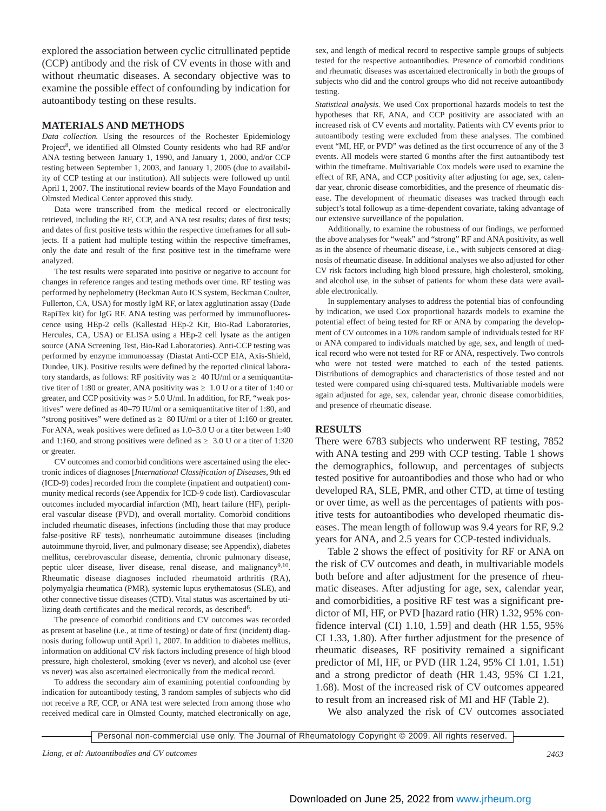explored the association between cyclic citrullinated peptide (CCP) antibody and the risk of CV events in those with and without rheumatic diseases. A secondary objective was to examine the possible effect of confounding by indication for autoantibody testing on these results.

#### **MATERIALS AND METHODS**

*Data collection.* Using the resources of the Rochester Epidemiology Project<sup>8</sup>, we identified all Olmsted County residents who had RF and/or ANA testing between January 1, 1990, and January 1, 2000, and/or CCP testing between September 1, 2003, and January 1, 2005 (due to availability of CCP testing at our institution). All subjects were followed up until April 1, 2007. The institutional review boards of the Mayo Foundation and Olmsted Medical Center approved this study.

Data were transcribed from the medical record or electronically retrieved, including the RF, CCP, and ANA test results; dates of first tests; and dates of first positive tests within the respective timeframes for all subjects. If a patient had multiple testing within the respective timeframes, only the date and result of the first positive test in the timeframe were analyzed.

The test results were separated into positive or negative to account for changes in reference ranges and testing methods over time. RF testing was performed by nephelometry (Beckman Auto ICS system, Beckman Coulter, Fullerton, CA, USA) for mostly IgM RF, or latex agglutination assay (Dade RapiTex kit) for IgG RF. ANA testing was performed by immunofluorescence using HEp-2 cells (Kallestad HEp-2 Kit, Bio-Rad Laboratories, Hercules, CA, USA) or ELISA using a HEp-2 cell lysate as the antigen source (ANA Screening Test, Bio-Rad Laboratories). Anti-CCP testing was performed by enzyme immunoassay (Diastat Anti-CCP EIA, Axis-Shield, Dundee, UK). Positive results were defined by the reported clinical laboratory standards, as follows: RF positivity was <a> 40 IU/ml or a semiquantitative titer of 1:80 or greater, ANA positivity was ≥ 1.0 U or a titer of 1:40 or greater, and CCP positivity was > 5.0 U/ml. In addition, for RF, "weak positives" were defined as 40–79 IU/ml or a semiquantitative titer of 1:80, and "strong positives" were defined as  $80$  IU/ml or a titer of 1:160 or greater. For ANA, weak positives were defined as 1.0–3.0 U or a titer between 1:40 and 1:160, and strong positives were defined as  $3.0$  U or a titer of 1:320 or greater.

CV outcomes and comorbid conditions were ascertained using the electronic indices of diagnoses [*International Classification of Diseases*, 9th ed (ICD-9) codes] recorded from the complete (inpatient and outpatient) community medical records (see Appendix for ICD-9 code list). Cardiovascular outcomes included myocardial infarction (MI), heart failure (HF), peripheral vascular disease (PVD), and overall mortality. Comorbid conditions included rheumatic diseases, infections (including those that may produce false-positive RF tests), nonrheumatic autoimmune diseases (including autoimmune thyroid, liver, and pulmonary disease; see Appendix), diabetes mellitus, cerebrovascular disease, dementia, chronic pulmonary disease, peptic ulcer disease, liver disease, renal disease, and malignancy<sup>9,10</sup>. Rheumatic disease diagnoses included rheumatoid arthritis (RA), polymyalgia rheumatica (PMR), systemic lupus erythematosus (SLE), and other connective tissue diseases (CTD). Vital status was ascertained by utilizing death certificates and the medical records, as described<sup>6</sup>.

The presence of comorbid conditions and CV outcomes was recorded as present at baseline (i.e., at time of testing) or date of first (incident) diagnosis during followup until April 1, 2007. In addition to diabetes mellitus, information on additional CV risk factors including presence of high blood pressure, high cholesterol, smoking (ever vs never), and alcohol use (ever vs never) was also ascertained electronically from the medical record.

To address the secondary aim of examining potential confounding by indication for autoantibody testing, 3 random samples of subjects who did not receive a RF, CCP, or ANA test were selected from among those who received medical care in Olmsted County, matched electronically on age, sex, and length of medical record to respective sample groups of subjects tested for the respective autoantibodies. Presence of comorbid conditions and rheumatic diseases was ascertained electronically in both the groups of subjects who did and the control groups who did not receive autoantibody testing.

*Statistical analysis.* We used Cox proportional hazards models to test the hypotheses that RF, ANA, and CCP positivity are associated with an increased risk of CV events and mortality. Patients with CV events prior to autoantibody testing were excluded from these analyses. The combined event "MI, HF, or PVD" was defined as the first occurrence of any of the 3 events. All models were started 6 months after the first autoantibody test within the timeframe. Multivariable Cox models were used to examine the effect of RF, ANA, and CCP positivity after adjusting for age, sex, calendar year, chronic disease comorbidities, and the presence of rheumatic disease. The development of rheumatic diseases was tracked through each subject's total followup as a time-dependent covariate, taking advantage of our extensive surveillance of the population.

Additionally, to examine the robustness of our findings, we performed the above analyses for "weak" and "strong" RF and ANA positivity, as well as in the absence of rheumatic disease, i.e., with subjects censored at diagnosis of rheumatic disease. In additional analyses we also adjusted for other CV risk factors including high blood pressure, high cholesterol, smoking, and alcohol use, in the subset of patients for whom these data were available electronically.

In supplementary analyses to address the potential bias of confounding by indication, we used Cox proportional hazards models to examine the potential effect of being tested for RF or ANA by comparing the development of CV outcomes in a 10% random sample of individuals tested for RF or ANA compared to individuals matched by age, sex, and length of medical record who were not tested for RF or ANA, respectively. Two controls who were not tested were matched to each of the tested patients. Distributions of demographics and characteristics of those tested and not tested were compared using chi-squared tests. Multivariable models were again adjusted for age, sex, calendar year, chronic disease comorbidities, and presence of rheumatic disease.

#### **RESULTS**

There were 6783 subjects who underwent RF testing, 7852 with ANA testing and 299 with CCP testing. Table 1 shows the demographics, followup, and percentages of subjects tested positive for autoantibodies and those who had or who developed RA, SLE, PMR, and other CTD, at time of testing or over time, as well as the percentages of patients with positive tests for autoantibodies who developed rheumatic diseases. The mean length of followup was 9.4 years for RF, 9.2 years for ANA, and 2.5 years for CCP-tested individuals.

Table 2 shows the effect of positivity for RF or ANA on the risk of CV outcomes and death, in multivariable models both before and after adjustment for the presence of rheumatic diseases. After adjusting for age, sex, calendar year, and comorbidities, a positive RF test was a significant predictor of MI, HF, or PVD [hazard ratio (HR) 1.32, 95% confidence interval (CI) 1.10, 1.59] and death (HR 1.55, 95% CI 1.33, 1.80). After further adjustment for the presence of rheumatic diseases, RF positivity remained a significant predictor of MI, HF, or PVD (HR 1.24, 95% CI 1.01, 1.51) and a strong predictor of death (HR 1.43, 95% CI 1.21, 1.68). Most of the increased risk of CV outcomes appeared to result from an increased risk of MI and HF (Table 2).

We also analyzed the risk of CV outcomes associated

Personal non-commercial use only. The Journal of Rheumatology Copyright © 2009. All rights reserved.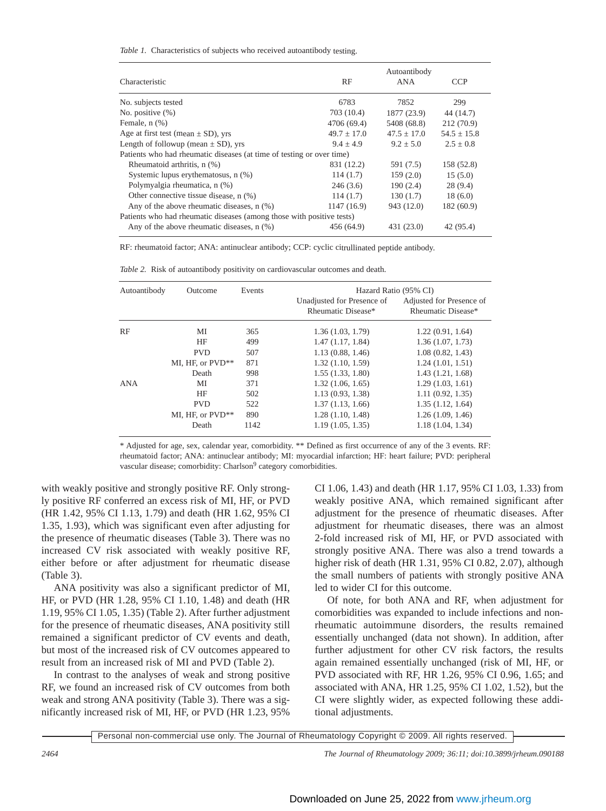*Table 1.* Characteristics of subjects who received autoantibody testing.

|                                                                       |                 | Autoantibody    |                 |
|-----------------------------------------------------------------------|-----------------|-----------------|-----------------|
| Characteristic                                                        | RF              | ANA             | <b>CCP</b>      |
| No. subjects tested                                                   | 6783            | 7852            | 299             |
| No. positive $(\%)$                                                   | 703 (10.4)      | 1877 (23.9)     | 44 (14.7)       |
| Female, $n$ $(\%)$                                                    | 4706 (69.4)     | 5408 (68.8)     | 212(70.9)       |
| Age at first test (mean $\pm$ SD), yrs                                | $49.7 \pm 17.0$ | $47.5 \pm 17.0$ | $54.5 \pm 15.8$ |
| Length of followup (mean $\pm$ SD), yrs                               | $9.4 + 4.9$     | $9.2 \pm 5.0$   | $2.5 \pm 0.8$   |
| Patients who had rheumatic diseases (at time of testing or over time) |                 |                 |                 |
| Rheumatoid arthritis, n (%)                                           | 831 (12.2)      | 591 (7.5)       | 158 (52.8)      |
| Systemic lupus erythematosus, n (%)                                   | 114(1.7)        | 159(2.0)        | 15(5.0)         |
| Polymyalgia rheumatica, n (%)                                         | 246(3.6)        | 190(2.4)        | 28(9.4)         |
| Other connective tissue disease, n (%)                                | 114(1.7)        | 130(1.7)        | 18(6.0)         |
| Any of the above rheumatic diseases, $n$ $(\%)$                       | 1147 (16.9)     | 943 (12.0)      | 182 (60.9)      |
| Patients who had rheumatic diseases (among those with positive tests) |                 |                 |                 |
| Any of the above rheumatic diseases, $n$ $(\%)$                       | 456 (64.9)      | 431 (23.0)      | 42 (95.4)       |

RF: rheumatoid factor; ANA: antinuclear antibody; CCP: cyclic citrullinated peptide antibody.

*Table 2.* Risk of autoantibody positivity on cardiovascular outcomes and death.

| Autoantibody | Outcome          | Events |                                                  | Hazard Ratio (95% CI)                          |  |  |
|--------------|------------------|--------|--------------------------------------------------|------------------------------------------------|--|--|
|              |                  |        | Unadjusted for Presence of<br>Rheumatic Disease* | Adjusted for Presence of<br>Rheumatic Disease* |  |  |
| RF           | МI               | 365    | 1.36(1.03, 1.79)                                 | 1.22(0.91, 1.64)                               |  |  |
|              | HF               | 499    | 1.47(1.17, 1.84)                                 | 1.36(1.07, 1.73)                               |  |  |
|              | <b>PVD</b>       | 507    | 1.13(0.88, 1.46)                                 | 1.08(0.82, 1.43)                               |  |  |
|              | MI, HF, or PVD** | 871    | 1.32(1.10, 1.59)                                 | 1.24(1.01, 1.51)                               |  |  |
|              | Death            | 998    | 1.55(1.33, 1.80)                                 | 1.43(1.21, 1.68)                               |  |  |
| <b>ANA</b>   | MI               | 371    | 1.32(1.06, 1.65)                                 | 1.29(1.03, 1.61)                               |  |  |
|              | HF               | 502    | 1.13(0.93, 1.38)                                 | 1.11(0.92, 1.35)                               |  |  |
|              | <b>PVD</b>       | 522    | 1.37(1.13, 1.66)                                 | 1.35(1.12, 1.64)                               |  |  |
|              | MI, HF, or PVD** | 890    | 1.28(1.10, 1.48)                                 | 1.26(1.09, 1.46)                               |  |  |
|              | Death            | 1142   | 1.19(1.05, 1.35)                                 | 1.18(1.04, 1.34)                               |  |  |

\* Adjusted for age, sex, calendar year, comorbidity. \*\* Defined as first occurrence of any of the 3 events. RF: rheumatoid factor; ANA: antinuclear antibody; MI: myocardial infarction; HF: heart failure; PVD: peripheral vascular disease; comorbidity: Charlson<sup>9</sup> category comorbidities.

with weakly positive and strongly positive RF. Only strongly positive RF conferred an excess risk of MI, HF, or PVD (HR 1.42, 95% CI 1.13, 1.79) and death (HR 1.62, 95% CI 1.35, 1.93), which was significant even after adjusting for the presence of rheumatic diseases (Table 3). There was no increased CV risk associated with weakly positive RF, either before or after adjustment for rheumatic disease (Table 3).

ANA positivity was also a significant predictor of MI, HF, or PVD (HR 1.28, 95% CI 1.10, 1.48) and death (HR 1.19, 95% CI 1.05, 1.35) (Table 2). After further adjustment for the presence of rheumatic diseases, ANA positivity still remained a significant predictor of CV events and death, but most of the increased risk of CV outcomes appeared to result from an increased risk of MI and PVD (Table 2).

In contrast to the analyses of weak and strong positive RF, we found an increased risk of CV outcomes from both weak and strong ANA positivity (Table 3). There was a significantly increased risk of MI, HF, or PVD (HR 1.23, 95%

CI 1.06, 1.43) and death (HR 1.17, 95% CI 1.03, 1.33) from weakly positive ANA, which remained significant after adjustment for the presence of rheumatic diseases. After adjustment for rheumatic diseases, there was an almost 2-fold increased risk of MI, HF, or PVD associated with strongly positive ANA. There was also a trend towards a higher risk of death (HR 1.31, 95% CI 0.82, 2.07), although the small numbers of patients with strongly positive ANA led to wider CI for this outcome.

Of note, for both ANA and RF, when adjustment for comorbidities was expanded to include infections and nonrheumatic autoimmune disorders, the results remained essentially unchanged (data not shown). In addition, after further adjustment for other CV risk factors, the results again remained essentially unchanged (risk of MI, HF, or PVD associated with RF, HR 1.26, 95% CI 0.96, 1.65; and associated with ANA, HR 1.25, 95% CI 1.02, 1.52), but the CI were slightly wider, as expected following these additional adjustments.

Personal non-commercial use only. The Journal of Rheumatology Copyright © 2009. All rights reserved.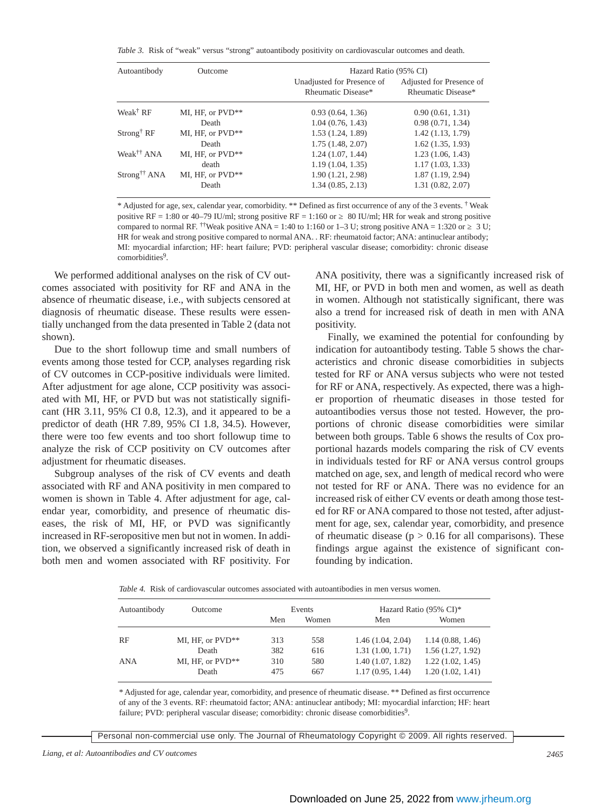*Table 3.* Risk of "weak" versus "strong" autoantibody positivity on cardiovascular outcomes and death.

| Autoantibody             | <b>Outcome</b>   | Hazard Ratio (95% CI)                            |                                                |  |  |
|--------------------------|------------------|--------------------------------------------------|------------------------------------------------|--|--|
|                          |                  | Unadjusted for Presence of<br>Rheumatic Disease* | Adjusted for Presence of<br>Rheumatic Disease* |  |  |
| Weak <sup>†</sup> RF     | MI, HF, or PVD** | 0.93(0.64, 1.36)                                 | 0.90(0.61, 1.31)                               |  |  |
|                          | Death            | 1.04(0.76, 1.43)                                 | 0.98(0.71, 1.34)                               |  |  |
| $Strong^{\dagger}$ RF    | MI, HF, or PVD** | 1.53(1.24, 1.89)                                 | 1.42(1.13, 1.79)                               |  |  |
|                          | Death            | 1.75(1.48, 2.07)                                 | $1.62$ $(1.35, 1.93)$                          |  |  |
| Weak <sup>††</sup> ANA   | MI, HF, or PVD** | 1.24(1.07, 1.44)                                 | 1.23(1.06, 1.43)                               |  |  |
|                          | death            | 1.19(1.04, 1.35)                                 | 1.17(1.03, 1.33)                               |  |  |
| Strong <sup>††</sup> ANA | MI, HF, or PVD** | 1.90 (1.21, 2.98)                                | 1.87(1.19, 2.94)                               |  |  |
|                          | Death            | 1.34(0.85, 2.13)                                 | 1.31(0.82, 2.07)                               |  |  |

\* Adjusted for age, sex, calendar year, comorbidity. \*\* Defined as first occurrence of any of the 3 events. † Weak positive RF = 1:80 or 40–79 IU/ml; strong positive RF = 1:160 or  $\,$  80 IU/ml; HR for weak and strong positive compared to normal RF. <sup>††</sup>Weak positive ANA = 1:40 to 1:160 or 1–3 U; strong positive ANA = 1:320 or  $\cdot$  3 U; HR for weak and strong positive compared to normal ANA. . RF: rheumatoid factor; ANA: antinuclear antibody; MI: myocardial infarction; HF: heart failure; PVD: peripheral vascular disease; comorbidity: chronic disease comorbidities<sup>9</sup>.

We performed additional analyses on the risk of CV outcomes associated with positivity for RF and ANA in the absence of rheumatic disease, i.e., with subjects censored at diagnosis of rheumatic disease. These results were essentially unchanged from the data presented in Table 2 (data not shown).

Due to the short followup time and small numbers of events among those tested for CCP, analyses regarding risk of CV outcomes in CCP-positive individuals were limited. After adjustment for age alone, CCP positivity was associated with MI, HF, or PVD but was not statistically significant (HR 3.11, 95% CI 0.8, 12.3), and it appeared to be a predictor of death (HR 7.89, 95% CI 1.8, 34.5). However, there were too few events and too short followup time to analyze the risk of CCP positivity on CV outcomes after adjustment for rheumatic diseases.

Subgroup analyses of the risk of CV events and death associated with RF and ANA positivity in men compared to women is shown in Table 4. After adjustment for age, calendar year, comorbidity, and presence of rheumatic diseases, the risk of MI, HF, or PVD was significantly increased in RF-seropositive men but not in women. In addition, we observed a significantly increased risk of death in both men and women associated with RF positivity. For ANA positivity, there was a significantly increased risk of MI, HF, or PVD in both men and women, as well as death in women. Although not statistically significant, there was also a trend for increased risk of death in men with ANA positivity.

Finally, we examined the potential for confounding by indication for autoantibody testing. Table 5 shows the characteristics and chronic disease comorbidities in subjects tested for RF or ANA versus subjects who were not tested for RF or ANA, respectively. As expected, there was a higher proportion of rheumatic diseases in those tested for autoantibodies versus those not tested. However, the proportions of chronic disease comorbidities were similar between both groups. Table 6 shows the results of Cox proportional hazards models comparing the risk of CV events in individuals tested for RF or ANA versus control groups matched on age, sex, and length of medical record who were not tested for RF or ANA. There was no evidence for an increased risk of either CV events or death among those tested for RF or ANA compared to those not tested, after adjustment for age, sex, calendar year, comorbidity, and presence of rheumatic disease ( $p > 0.16$  for all comparisons). These findings argue against the existence of significant confounding by indication.

*Table 4.* Risk of cardiovascular outcomes associated with autoantibodies in men versus women.

| Autoantibody | Outcome          | Events |       |                  | Hazard Ratio (95% CI)* |  |
|--------------|------------------|--------|-------|------------------|------------------------|--|
|              |                  | Men    | Women | Men              | Women                  |  |
| RF           | MI, HF, or PVD** | 313    | 558   | 1.46(1.04, 2.04) | 1.14(0.88, 1.46)       |  |
|              | Death            | 382    | 616   | 1.31(1.00, 1.71) | 1.56(1.27, 1.92)       |  |
| <b>ANA</b>   | MI, HF, or PVD** | 310    | 580   | 1.40(1.07, 1.82) | 1.22(1.02, 1.45)       |  |
|              | Death            | 475    | 667   | 1.17(0.95, 1.44) | 1.20(1.02, 1.41)       |  |
|              |                  |        |       |                  |                        |  |

\* Adjusted for age, calendar year, comorbidity, and presence of rheumatic disease. \*\* Defined as first occurrence of any of the 3 events. RF: rheumatoid factor; ANA: antinuclear antibody; MI: myocardial infarction; HF: heart failure; PVD: peripheral vascular disease; comorbidity: chronic disease comorbidities<sup>9</sup>.

Personal non-commercial use only. The Journal of Rheumatology Copyright © 2009. All rights reserved.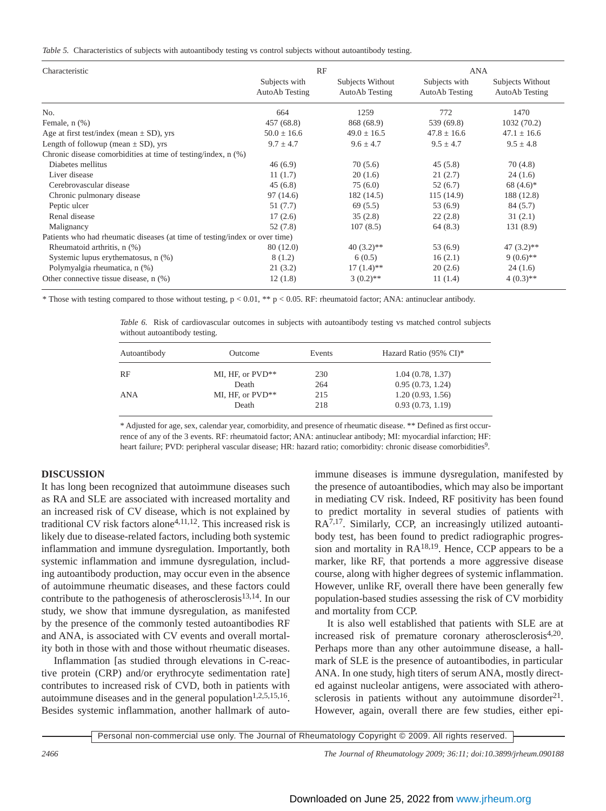|  | Table 5. Characteristics of subjects with autoantibody testing vs control subjects without autoantibody testing. |  |  |  |  |  |  |  |  |
|--|------------------------------------------------------------------------------------------------------------------|--|--|--|--|--|--|--|--|
|--|------------------------------------------------------------------------------------------------------------------|--|--|--|--|--|--|--|--|

| Characteristic                                                              | RF                              |                                    | ANA                             |                                    |  |
|-----------------------------------------------------------------------------|---------------------------------|------------------------------------|---------------------------------|------------------------------------|--|
|                                                                             | Subjects with<br>AutoAb Testing | Subjects Without<br>AutoAb Testing | Subjects with<br>AutoAb Testing | Subjects Without<br>AutoAb Testing |  |
| No.                                                                         | 664                             | 1259                               | 772                             | 1470                               |  |
| Female, $n$ $(\%)$                                                          | 457 (68.8)                      | 868 (68.9)                         | 539 (69.8)                      | 1032 (70.2)                        |  |
| Age at first test/index (mean $\pm$ SD), yrs                                | $50.0 \pm 16.6$                 | $49.0 \pm 16.5$                    | $47.8 \pm 16.6$                 | $47.1 \pm 16.6$                    |  |
| Length of followup (mean $\pm$ SD), yrs                                     | $9.7 \pm 4.7$                   | $9.6 \pm 4.7$                      | $9.5 \pm 4.7$                   | $9.5 \pm 4.8$                      |  |
| Chronic disease comorbidities at time of testing/index, n (%)               |                                 |                                    |                                 |                                    |  |
| Diabetes mellitus                                                           | 46(6.9)                         | 70(5.6)                            | 45(5.8)                         | 70(4.8)                            |  |
| Liver disease                                                               | 11(1.7)                         | 20(1.6)                            | 21(2.7)                         | 24(1.6)                            |  |
| Cerebrovascular disease                                                     | 45(6.8)                         | 75(6.0)                            | 52(6.7)                         | $68(4.6)$ *                        |  |
| Chronic pulmonary disease                                                   | 97 (14.6)                       | 182 (14.5)                         | 115(14.9)                       | 188 (12.8)                         |  |
| Peptic ulcer                                                                | 51(7.7)                         | 69(5.5)                            | 53 (6.9)                        | 84 (5.7)                           |  |
| Renal disease                                                               | 17(2.6)                         | 35(2.8)                            | 22(2.8)                         | 31(2.1)                            |  |
| Malignancy                                                                  | 52 (7.8)                        | 107(8.5)                           | 64(8.3)                         | 131 (8.9)                          |  |
| Patients who had rheumatic diseases (at time of testing/index or over time) |                                 |                                    |                                 |                                    |  |
| Rheumatoid arthritis, n (%)                                                 | 80 (12.0)                       | $40(3.2)$ **                       | 53(6.9)                         | $47(3.2)$ **                       |  |
| Systemic lupus erythematosus, n (%)                                         | 8(1.2)                          | 6(0.5)                             | 16(2.1)                         | $9(0.6)$ **                        |  |
| Polymyalgia rheumatica, n (%)                                               | 21(3.2)                         | $17(1.4)$ **                       | 20(2.6)                         | 24(1.6)                            |  |
| Other connective tissue disease, n (%)                                      | 12(1.8)                         | $3(0.2)$ **                        | 11(1.4)                         | $4(0.3)$ **                        |  |

\* Those with testing compared to those without testing,  $p < 0.01$ , \*\*  $p < 0.05$ . RF: rheumatoid factor; ANA: antinuclear antibody.

*Table 6.* Risk of cardiovascular outcomes in subjects with autoantibody testing vs matched control subjects without autoantibody testing.

| Outcome          | Events | Hazard Ratio (95% CI)* |  |
|------------------|--------|------------------------|--|
| MI, HF, or PVD** | 230    | 1.04(0.78, 1.37)       |  |
| Death            | 264    | 0.95(0.73, 1.24)       |  |
| MI, HF, or PVD** | 215    | 1.20(0.93, 1.56)       |  |
| Death            | 218    | 0.93(0.73, 1.19)       |  |
|                  |        |                        |  |

\* Adjusted for age, sex, calendar year, comorbidity, and presence of rheumatic disease. \*\* Defined as first occurrence of any of the 3 events. RF: rheumatoid factor; ANA: antinuclear antibody; MI: myocardial infarction; HF: heart failure; PVD: peripheral vascular disease; HR: hazard ratio; comorbidity: chronic disease comorbidities<sup>9</sup>.

# **DISCUSSION**

It has long been recognized that autoimmune diseases such as RA and SLE are associated with increased mortality and an increased risk of CV disease, which is not explained by traditional CV risk factors alone<sup>4,11,12</sup>. This increased risk is likely due to disease-related factors, including both systemic inflammation and immune dysregulation. Importantly, both systemic inflammation and immune dysregulation, including autoantibody production, may occur even in the absence of autoimmune rheumatic diseases, and these factors could contribute to the pathogenesis of atherosclerosis $13,14$ . In our study, we show that immune dysregulation, as manifested by the presence of the commonly tested autoantibodies RF and ANA, is associated with CV events and overall mortality both in those with and those without rheumatic diseases.

Inflammation [as studied through elevations in C-reactive protein (CRP) and/or erythrocyte sedimentation rate] contributes to increased risk of CVD, both in patients with autoimmune diseases and in the general population<sup>1,2,5,15,16</sup>. Besides systemic inflammation, another hallmark of autoimmune diseases is immune dysregulation, manifested by the presence of autoantibodies, which may also be important in mediating CV risk. Indeed, RF positivity has been found to predict mortality in several studies of patients with RA<sup>7,17</sup>. Similarly, CCP, an increasingly utilized autoantibody test, has been found to predict radiographic progression and mortality in  $RA^{18,19}$ . Hence, CCP appears to be a marker, like RF, that portends a more aggressive disease course, along with higher degrees of systemic inflammation. However, unlike RF, overall there have been generally few population-based studies assessing the risk of CV morbidity and mortality from CCP.

It is also well established that patients with SLE are at increased risk of premature coronary atherosclerosis<sup>4,20</sup>. Perhaps more than any other autoimmune disease, a hallmark of SLE is the presence of autoantibodies, in particular ANA. In one study, high titers of serum ANA, mostly directed against nucleolar antigens, were associated with atherosclerosis in patients without any autoimmune disorder $21$ . However, again, overall there are few studies, either epi-

Personal non-commercial use only. The Journal of Rheumatology Copyright © 2009. All rights reserved.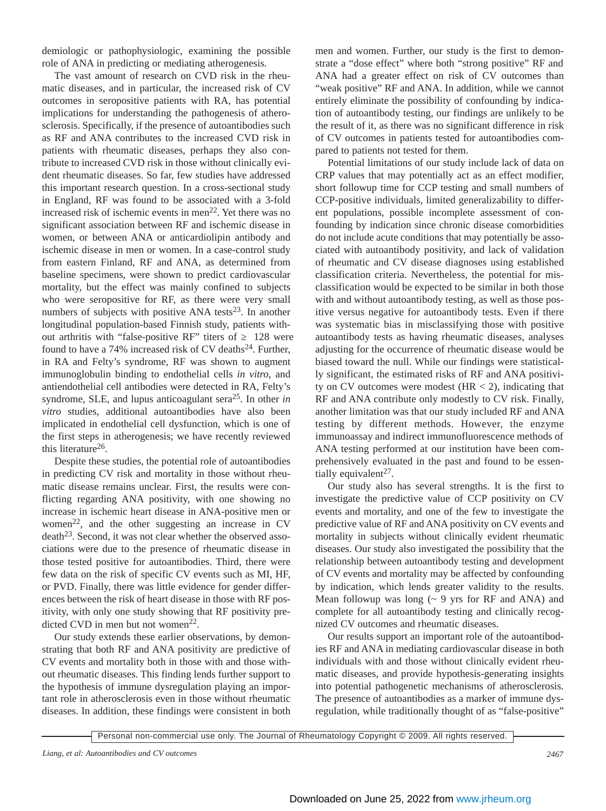demiologic or pathophysiologic, examining the possible role of ANA in predicting or mediating atherogenesis.

The vast amount of research on CVD risk in the rheumatic diseases, and in particular, the increased risk of CV outcomes in seropositive patients with RA, has potential implications for understanding the pathogenesis of atherosclerosis. Specifically, if the presence of autoantibodies such as RF and ANA contributes to the increased CVD risk in patients with rheumatic diseases, perhaps they also contribute to increased CVD risk in those without clinically evident rheumatic diseases. So far, few studies have addressed this important research question. In a cross-sectional study in England, RF was found to be associated with a 3-fold increased risk of ischemic events in men<sup>22</sup>. Yet there was no significant association between RF and ischemic disease in women, or between ANA or anticardiolipin antibody and ischemic disease in men or women. In a case-control study from eastern Finland, RF and ANA, as determined from baseline specimens, were shown to predict cardiovascular mortality, but the effect was mainly confined to subjects who were seropositive for RF, as there were very small numbers of subjects with positive ANA tests<sup>23</sup>. In another longitudinal population-based Finnish study, patients without arthritis with "false-positive RF" titers of 128 were found to have a 74% increased risk of CV deaths $^{24}$ . Further, in RA and Felty's syndrome, RF was shown to augment immunoglobulin binding to endothelial cells *in vitro*, and antiendothelial cell antibodies were detected in RA, Felty's syndrome, SLE, and lupus anticoagulant sera<sup>25</sup>. In other *in vitro* studies, additional autoantibodies have also been implicated in endothelial cell dysfunction, which is one of the first steps in atherogenesis; we have recently reviewed this literature26.

Despite these studies, the potential role of autoantibodies in predicting CV risk and mortality in those without rheumatic disease remains unclear. First, the results were conflicting regarding ANA positivity, with one showing no increase in ischemic heart disease in ANA-positive men or women<sup>22</sup>, and the other suggesting an increase in  $CV$ death<sup>23</sup>. Second, it was not clear whether the observed associations were due to the presence of rheumatic disease in those tested positive for autoantibodies. Third, there were few data on the risk of specific CV events such as MI, HF, or PVD. Finally, there was little evidence for gender differences between the risk of heart disease in those with RF positivity, with only one study showing that RF positivity predicted CVD in men but not women<sup>22</sup>.

Our study extends these earlier observations, by demonstrating that both RF and ANA positivity are predictive of CV events and mortality both in those with and those without rheumatic diseases. This finding lends further support to the hypothesis of immune dysregulation playing an important role in atherosclerosis even in those without rheumatic diseases. In addition, these findings were consistent in both

men and women. Further, our study is the first to demonstrate a "dose effect" where both "strong positive" RF and ANA had a greater effect on risk of CV outcomes than "weak positive" RF and ANA. In addition, while we cannot entirely eliminate the possibility of confounding by indication of autoantibody testing, our findings are unlikely to be the result of it, as there was no significant difference in risk of CV outcomes in patients tested for autoantibodies compared to patients not tested for them.

Potential limitations of our study include lack of data on CRP values that may potentially act as an effect modifier, short followup time for CCP testing and small numbers of CCP-positive individuals, limited generalizability to different populations, possible incomplete assessment of confounding by indication since chronic disease comorbidities do not include acute conditions that may potentially be associated with autoantibody positivity, and lack of validation of rheumatic and CV disease diagnoses using established classification criteria. Nevertheless, the potential for misclassification would be expected to be similar in both those with and without autoantibody testing, as well as those positive versus negative for autoantibody tests. Even if there was systematic bias in misclassifying those with positive autoantibody tests as having rheumatic diseases, analyses adjusting for the occurrence of rheumatic disease would be biased toward the null. While our findings were statistically significant, the estimated risks of RF and ANA positivity on CV outcomes were modest  $(HR < 2)$ , indicating that RF and ANA contribute only modestly to CV risk. Finally, another limitation was that our study included RF and ANA testing by different methods. However, the enzyme immunoassay and indirect immunofluorescence methods of ANA testing performed at our institution have been comprehensively evaluated in the past and found to be essentially equivalent<sup>27</sup>.

Our study also has several strengths. It is the first to investigate the predictive value of CCP positivity on CV events and mortality, and one of the few to investigate the predictive value of RF and ANA positivity on CV events and mortality in subjects without clinically evident rheumatic diseases. Our study also investigated the possibility that the relationship between autoantibody testing and development of CV events and mortality may be affected by confounding by indication, which lends greater validity to the results. Mean followup was long  $({\sim} 9$  yrs for RF and ANA) and complete for all autoantibody testing and clinically recognized CV outcomes and rheumatic diseases.

Our results support an important role of the autoantibodies RF and ANA in mediating cardiovascular disease in both individuals with and those without clinically evident rheumatic diseases, and provide hypothesis-generating insights into potential pathogenetic mechanisms of atherosclerosis. The presence of autoantibodies as a marker of immune dysregulation, while traditionally thought of as "false-positive"

```
Personal non-commercial use only. The Journal of Rheumatology Copyright © 2009. All rights reserved.
```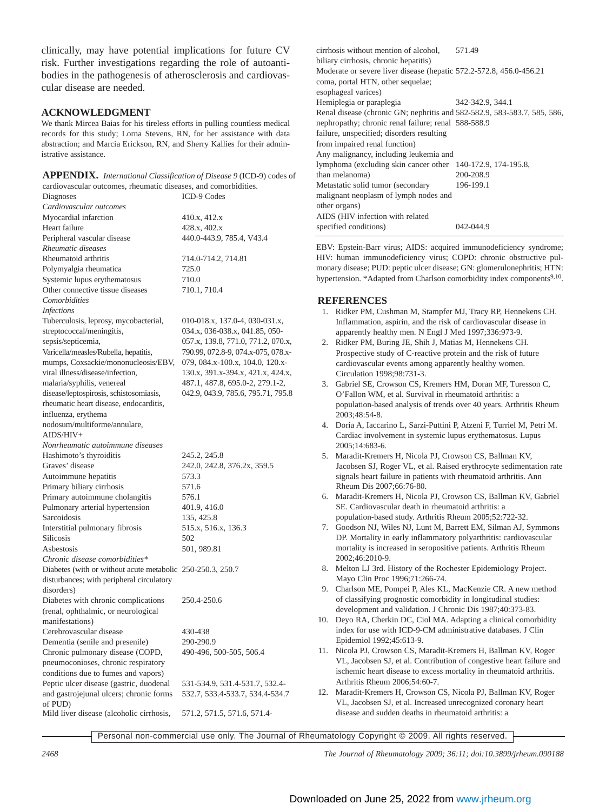clinically, may have potential implications for future CV risk. Further investigations regarding the role of autoantibodies in the pathogenesis of atherosclerosis and cardiovascular disease are needed.

# **ACKNOWLEDGMENT**

We thank Mircea Baias for his tireless efforts in pulling countless medical records for this study; Lorna Stevens, RN, for her assistance with data abstraction; and Marcia Erickson, RN, and Sherry Kallies for their administrative assistance.

| APPENDIX. International Classification of Disease 9 (ICD-9) codes of |
|----------------------------------------------------------------------|
| cardiovascular outcomes, rheumatic diseases, and comorbidities.      |

| Diagnoses                                                   | ICD-9 Codes                        |
|-------------------------------------------------------------|------------------------------------|
| Cardiovascular outcomes                                     |                                    |
| Myocardial infarction                                       | 410.x, 412.x                       |
| Heart failure                                               | 428.x, 402.x                       |
| Peripheral vascular disease                                 | 440.0-443.9, 785.4, V43.4          |
| Rheumatic diseases                                          |                                    |
| Rheumatoid arthritis                                        | 714.0-714.2, 714.81                |
| Polymyalgia rheumatica                                      | 725.0                              |
| Systemic lupus erythematosus                                | 710.0                              |
| Other connective tissue diseases                            | 710.1, 710.4                       |
| Comorbidities                                               |                                    |
| <i>Infections</i>                                           |                                    |
| Tuberculosis, leprosy, mycobacterial,                       | 010-018.x, 137.0-4, 030-031.x,     |
| streptococcal/meningitis,                                   | 034.x, 036-038.x, 041.85, 050-     |
| sepsis/septicemia,                                          | 057.x, 139.8, 771.0, 771.2, 070.x, |
| Varicella/measles/Rubella, hepatitis,                       | 790.99, 072.8-9, 074.x-075, 078.x- |
| mumps, Coxsackie/mononucleosis/EBV,                         | 079, 084.x-100.x, 104.0, 120.x-    |
| viral illness/disease/infection,                            | 130.x, 391.x-394.x, 421.x, 424.x,  |
| malaria/syphilis, venereal                                  | 487.1, 487.8, 695.0-2, 279.1-2,    |
| disease/leptospirosis, schistosomiasis,                     | 042.9, 043.9, 785.6, 795.71, 795.8 |
| rheumatic heart disease, endocarditis,                      |                                    |
| influenza, erythema                                         |                                    |
| nodosum/multiforme/annulare,                                |                                    |
| $AIDS/HIV+$                                                 |                                    |
| Nonrheumatic autoimmune diseases                            |                                    |
| Hashimoto's thyroiditis                                     | 245.2, 245.8                       |
| Graves' disease                                             | 242.0, 242.8, 376.2x, 359.5        |
| Autoimmune hepatitis                                        | 573.3                              |
| Primary biliary cirrhosis                                   | 571.6                              |
| Primary autoimmune cholangitis                              | 576.1                              |
| Pulmonary arterial hypertension                             | 401.9, 416.0                       |
| Sarcoidosis                                                 | 135, 425.8                         |
| Interstitial pulmonary fibrosis                             | 515.x, 516.x, 136.3                |
| <b>Silicosis</b>                                            | 502                                |
| Asbestosis                                                  | 501, 989.81                        |
| Chronic disease comorbidities*                              |                                    |
| Diabetes (with or without acute metabolic 250-250.3, 250.7) |                                    |
| disturbances; with peripheral circulatory                   |                                    |
| disorders)                                                  |                                    |
| Diabetes with chronic complications                         | 250.4-250.6                        |
| (renal, ophthalmic, or neurological                         |                                    |
| manifestations)                                             |                                    |
|                                                             |                                    |
| Cerebrovascular disease                                     | 430-438                            |
| Dementia (senile and presenile)                             | 290-290.9                          |
| Chronic pulmonary disease (COPD,                            | 490-496, 500-505, 506.4            |
| pneumoconioses, chronic respiratory                         |                                    |
| conditions due to fumes and vapors)                         |                                    |
| Peptic ulcer disease (gastric, duodenal                     | 531-534.9, 531.4-531.7, 532.4-     |
| and gastrojejunal ulcers; chronic forms                     | 532.7, 533.4-533.7, 534.4-534.7    |
| of PUD)                                                     |                                    |
| Mild liver disease (alcoholic cirrhosis,                    | 571.2, 571.5, 571.6, 571.4-        |

cirrhosis without mention of alcohol, 571.49 biliary cirrhosis, chronic hepatitis) Moderate or severe liver disease (hepatic 572.2-572.8, 456.0-456.21 coma, portal HTN, other sequelae; esophageal varices) Hemiplegia or paraplegia 342-342.9, 344.1 Renal disease (chronic GN; nephritis and 582-582.9, 583-583.7, 585, 586, nephropathy; chronic renal failure; renal 588-588.9 failure, unspecified; disorders resulting from impaired renal function) Any malignancy, including leukemia and lymphoma (excluding skin cancer other 140-172.9, 174-195.8, than melanoma) 200-208.9 Metastatic solid tumor (secondary 196-199.1 malignant neoplasm of lymph nodes and other organs) AIDS (HIV infection with related specified conditions) 042-044.9

EBV: Epstein-Barr virus; AIDS: acquired immunodeficiency syndrome; HIV: human immunodeficiency virus; COPD: chronic obstructive pulmonary disease; PUD: peptic ulcer disease; GN: glomerulonephritis; HTN: hypertension. \*Adapted from Charlson comorbidity index components<sup>9,10</sup>.

### **REFERENCES**

- 1. Ridker PM, Cushman M, Stampfer MJ, Tracy RP, Hennekens CH. Inflammation, aspirin, and the risk of cardiovascular disease in apparently healthy men. N Engl J Med 1997;336:973-9.
- 2. Ridker PM, Buring JE, Shih J, Matias M, Hennekens CH. Prospective study of C-reactive protein and the risk of future cardiovascular events among apparently healthy women. Circulation 1998;98:731-3.
- 3. Gabriel SE, Crowson CS, Kremers HM, Doran MF, Turesson C, O'Fallon WM, et al. Survival in rheumatoid arthritis: a population-based analysis of trends over 40 years. Arthritis Rheum 2003;48:54-8.
- 4. Doria A, Iaccarino L, Sarzi-Puttini P, Atzeni F, Turriel M, Petri M. Cardiac involvement in systemic lupus erythematosus. Lupus 2005;14:683-6.
- 5. Maradit-Kremers H, Nicola PJ, Crowson CS, Ballman KV, Jacobsen SJ, Roger VL, et al. Raised erythrocyte sedimentation rate signals heart failure in patients with rheumatoid arthritis. Ann Rheum Dis 2007;66:76-80.
- 6. Maradit-Kremers H, Nicola PJ, Crowson CS, Ballman KV, Gabriel SE. Cardiovascular death in rheumatoid arthritis: a population-based study. Arthritis Rheum 2005;52:722-32.
- 7. Goodson NJ, Wiles NJ, Lunt M, Barrett EM, Silman AJ, Symmons DP. Mortality in early inflammatory polyarthritis: cardiovascular mortality is increased in seropositive patients. Arthritis Rheum 2002;46:2010-9.
- 8. Melton LJ 3rd. History of the Rochester Epidemiology Project. Mayo Clin Proc 1996;71:266-74.
- 9. Charlson ME, Pompei P, Ales KL, MacKenzie CR. A new method of classifying prognostic comorbidity in longitudinal studies: development and validation. J Chronic Dis 1987;40:373-83.
- 10. Deyo RA, Cherkin DC, Ciol MA. Adapting a clinical comorbidity index for use with ICD-9-CM administrative databases. J Clin Epidemiol 1992;45:613-9.
- 11. Nicola PJ, Crowson CS, Maradit-Kremers H, Ballman KV, Roger VL, Jacobsen SJ, et al. Contribution of congestive heart failure and ischemic heart disease to excess mortality in rheumatoid arthritis. Arthritis Rheum 2006;54:60-7.
- 12. Maradit-Kremers H, Crowson CS, Nicola PJ, Ballman KV, Roger VL, Jacobsen SJ, et al. Increased unrecognized coronary heart disease and sudden deaths in rheumatoid arthritis: a

Personal non-commercial use only. The Journal of Rheumatology Copyright © 2009. All rights reserved.